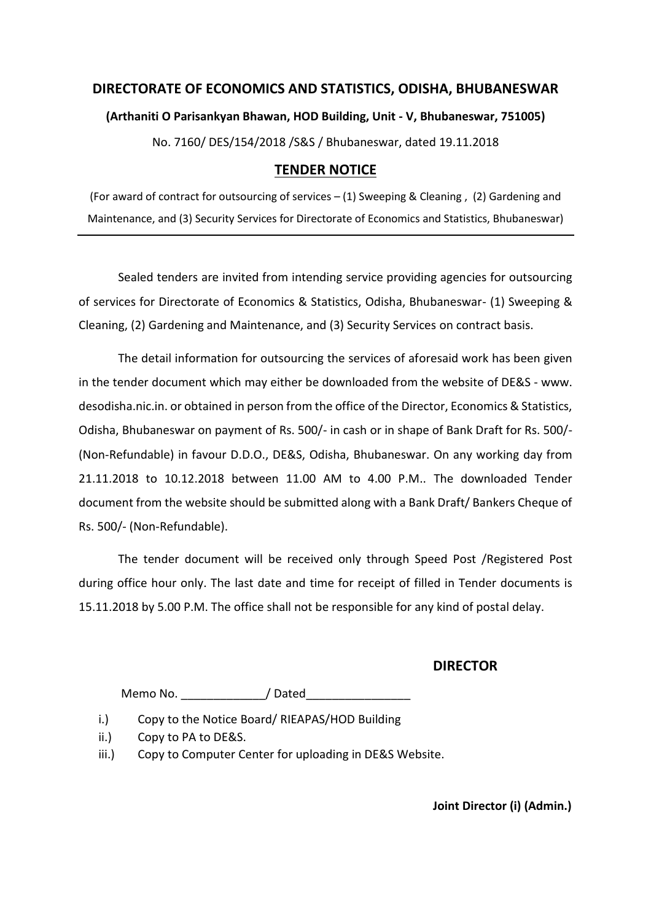# **DIRECTORATE OF ECONOMICS AND STATISTICS, ODISHA, BHUBANESWAR (Arthaniti O Parisankyan Bhawan, HOD Building, Unit - V, Bhubaneswar, 751005)** No. 7160/ DES/154/2018 /S&S / Bhubaneswar, dated 19.11.2018

## **TENDER NOTICE**

(For award of contract for outsourcing of services – (1) Sweeping & Cleaning , (2) Gardening and Maintenance, and (3) Security Services for Directorate of Economics and Statistics, Bhubaneswar)

Sealed tenders are invited from intending service providing agencies for outsourcing of services for Directorate of Economics & Statistics, Odisha, Bhubaneswar- (1) Sweeping & Cleaning, (2) Gardening and Maintenance, and (3) Security Services on contract basis.

The detail information for outsourcing the services of aforesaid work has been given in the tender document which may either be downloaded from the website of DE&S - www. desodisha.nic.in. or obtained in person from the office of the Director, Economics & Statistics, Odisha, Bhubaneswar on payment of Rs. 500/- in cash or in shape of Bank Draft for Rs. 500/- (Non-Refundable) in favour D.D.O., DE&S, Odisha, Bhubaneswar. On any working day from 21.11.2018 to 10.12.2018 between 11.00 AM to 4.00 P.M.. The downloaded Tender document from the website should be submitted along with a Bank Draft/ Bankers Cheque of Rs. 500/- (Non-Refundable).

The tender document will be received only through Speed Post /Registered Post during office hour only. The last date and time for receipt of filled in Tender documents is 15.11.2018 by 5.00 P.M. The office shall not be responsible for any kind of postal delay.

## **DIRECTOR**

Memo No. \_\_\_\_\_\_\_\_\_\_\_\_\_/ Dated\_\_\_\_\_\_\_\_\_\_\_\_\_\_\_\_

i.) Copy to the Notice Board/ RIEAPAS/HOD Building

ii.) Copy to PA to DE&S.

iii.) Copy to Computer Center for uploading in DE&S Website.

**Joint Director (i) (Admin.)**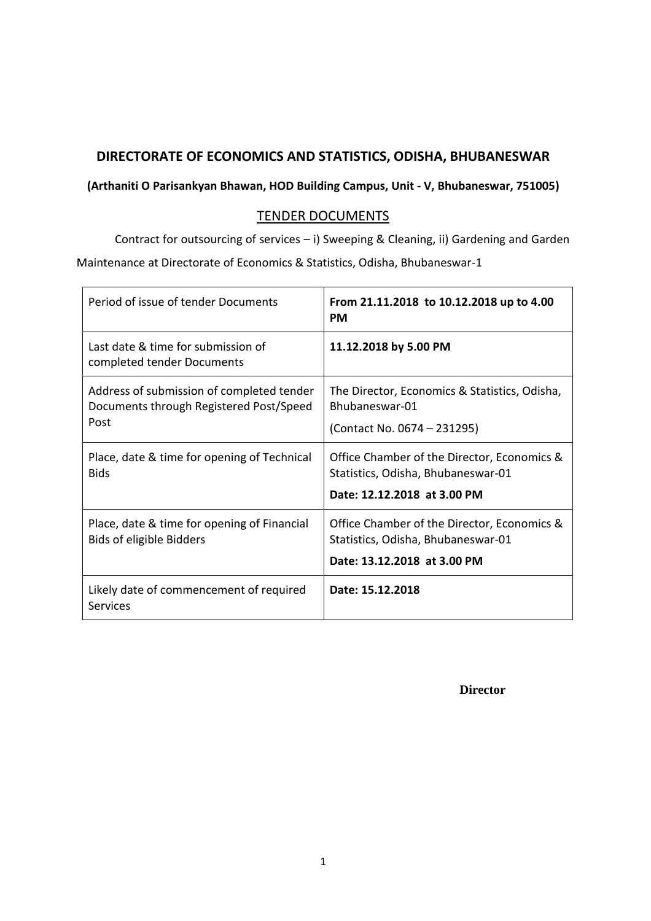## **DIRECTORATE OF ECONOMICS AND STATISTICS, ODISHA, BHUBANESWAR**

## **(Arthaniti O Parisankyan Bhawan, HOD Building Campus, Unit - V, Bhubaneswar, 751005)**

## TENDER DOCUMENTS

Contract for outsourcing of services – i) Sweeping & Cleaning, ii) Gardening and Garden Maintenance at Directorate of Economics & Statistics, Odisha, Bhubaneswar-1

| Period of issue of tender Documents                                                          | From 21.11.2018 to 10.12.2018 up to 4.00<br><b>PM</b>                                                            |
|----------------------------------------------------------------------------------------------|------------------------------------------------------------------------------------------------------------------|
| Last date & time for submission of<br>completed tender Documents                             | 11.12.2018 by 5.00 PM                                                                                            |
| Address of submission of completed tender<br>Documents through Registered Post/Speed<br>Post | The Director, Economics & Statistics, Odisha,<br>Bhubaneswar-01<br>(Contact No. 0674 – 231295)                   |
| Place, date & time for opening of Technical<br><b>Bids</b>                                   | Office Chamber of the Director, Economics &<br>Statistics, Odisha, Bhubaneswar-01<br>Date: 12.12.2018 at 3.00 PM |
| Place, date & time for opening of Financial<br><b>Bids of eligible Bidders</b>               | Office Chamber of the Director, Economics &<br>Statistics, Odisha, Bhubaneswar-01<br>Date: 13.12.2018 at 3.00 PM |
| Likely date of commencement of required<br>Services                                          | Date: 15.12.2018                                                                                                 |

**Director**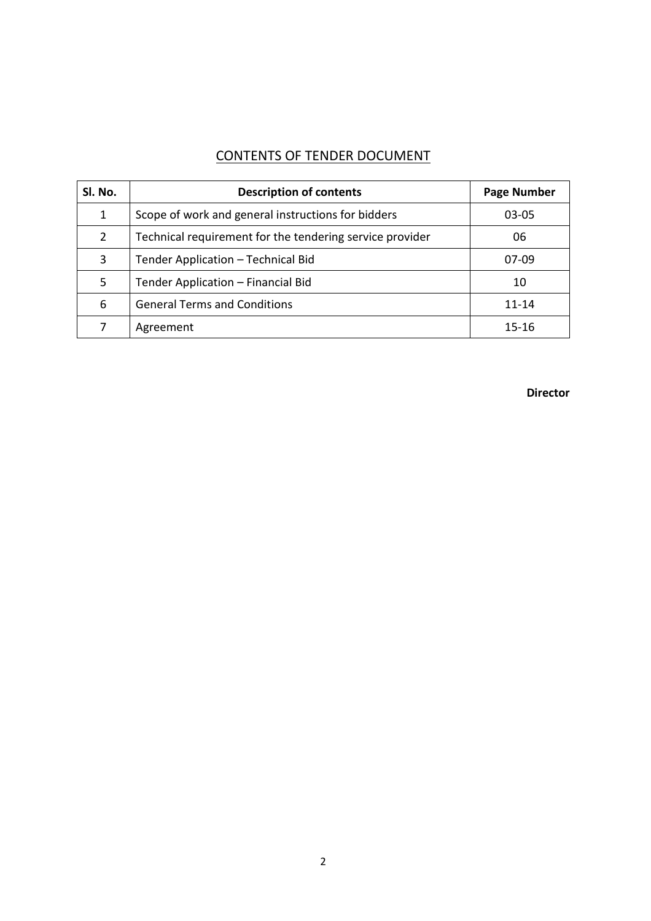## CONTENTS OF TENDER DOCUMENT

| Sl. No.        | <b>Description of contents</b>                           | <b>Page Number</b> |
|----------------|----------------------------------------------------------|--------------------|
| 1              | Scope of work and general instructions for bidders       | 03-05              |
| $\overline{2}$ | Technical requirement for the tendering service provider | 06                 |
| 3              | Tender Application - Technical Bid                       | $07-09$            |
| 5              | Tender Application - Financial Bid                       | 10                 |
| 6              | <b>General Terms and Conditions</b>                      | $11 - 14$          |
| 7              | Agreement                                                | $15 - 16$          |

**Director**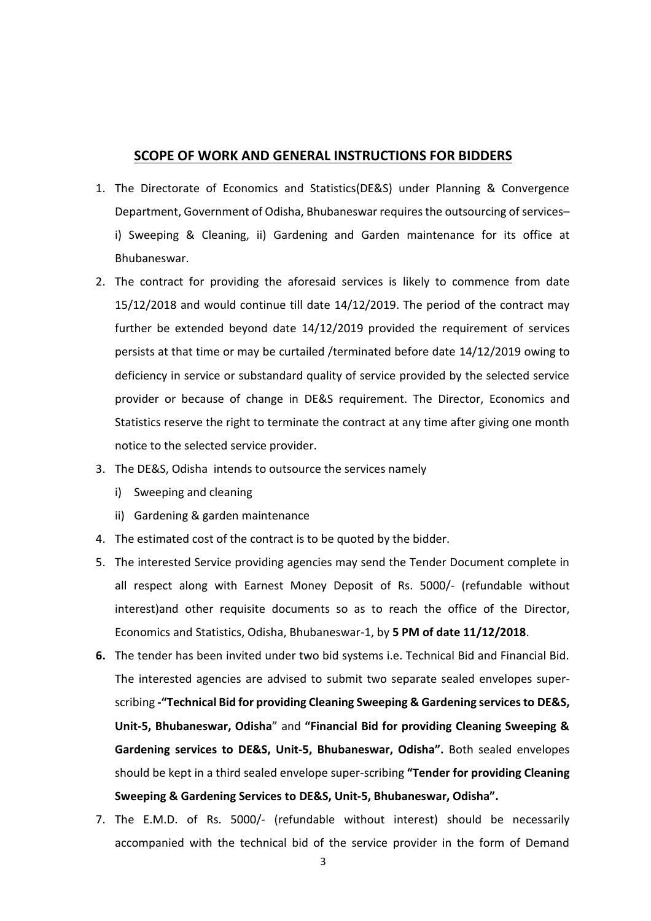#### **SCOPE OF WORK AND GENERAL INSTRUCTIONS FOR BIDDERS**

- 1. The Directorate of Economics and Statistics(DE&S) under Planning & Convergence Department, Government of Odisha, Bhubaneswar requires the outsourcing of services– i) Sweeping & Cleaning, ii) Gardening and Garden maintenance for its office at Bhubaneswar.
- 2. The contract for providing the aforesaid services is likely to commence from date 15/12/2018 and would continue till date 14/12/2019. The period of the contract may further be extended beyond date 14/12/2019 provided the requirement of services persists at that time or may be curtailed /terminated before date 14/12/2019 owing to deficiency in service or substandard quality of service provided by the selected service provider or because of change in DE&S requirement. The Director, Economics and Statistics reserve the right to terminate the contract at any time after giving one month notice to the selected service provider.
- 3. The DE&S, Odisha intends to outsource the services namely
	- i) Sweeping and cleaning
	- ii) Gardening & garden maintenance
- 4. The estimated cost of the contract is to be quoted by the bidder.
- 5. The interested Service providing agencies may send the Tender Document complete in all respect along with Earnest Money Deposit of Rs. 5000/- (refundable without interest)and other requisite documents so as to reach the office of the Director, Economics and Statistics, Odisha, Bhubaneswar-1, by **5 PM of date 11/12/2018**.
- **6.** The tender has been invited under two bid systems i.e. Technical Bid and Financial Bid. The interested agencies are advised to submit two separate sealed envelopes superscribing **-"Technical Bid for providing Cleaning Sweeping & Gardening services to DE&S, Unit-5, Bhubaneswar, Odisha**" and **"Financial Bid for providing Cleaning Sweeping & Gardening services to DE&S, Unit-5, Bhubaneswar, Odisha".** Both sealed envelopes should be kept in a third sealed envelope super-scribing **"Tender for providing Cleaning Sweeping & Gardening Services to DE&S, Unit-5, Bhubaneswar, Odisha".**
- 7. The E.M.D. of Rs. 5000/- (refundable without interest) should be necessarily accompanied with the technical bid of the service provider in the form of Demand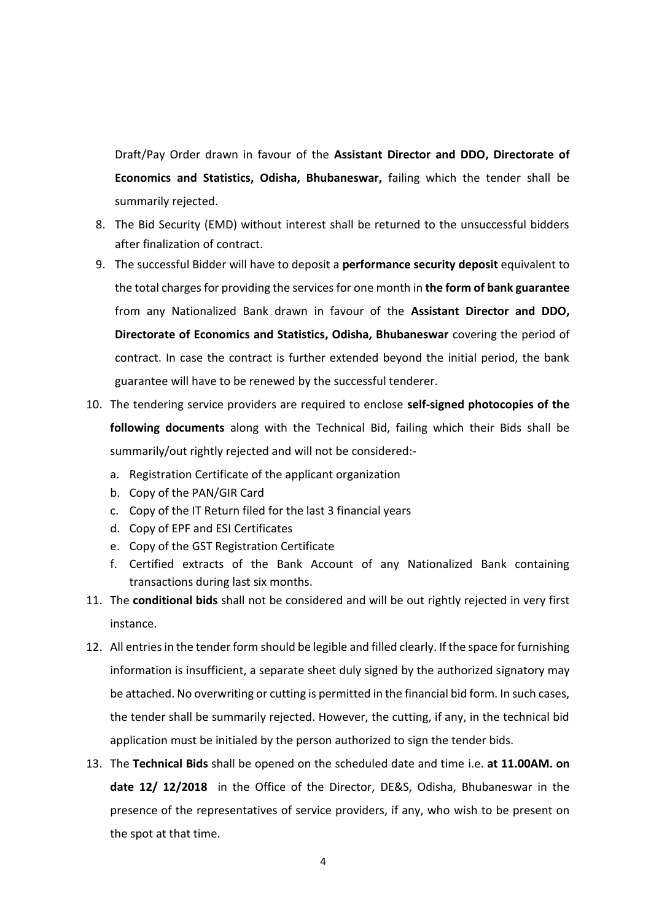Draft/Pay Order drawn in favour of the **Assistant Director and DDO, Directorate of Economics and Statistics, Odisha, Bhubaneswar,** failing which the tender shall be summarily rejected.

- 8. The Bid Security (EMD) without interest shall be returned to the unsuccessful bidders after finalization of contract.
- 9. The successful Bidder will have to deposit a **performance security deposit** equivalent to the total charges for providing the services for one month in **the form of bank guarantee** from any Nationalized Bank drawn in favour of the **Assistant Director and DDO, Directorate of Economics and Statistics, Odisha, Bhubaneswar** covering the period of contract. In case the contract is further extended beyond the initial period, the bank guarantee will have to be renewed by the successful tenderer.
- 10. The tendering service providers are required to enclose **self-signed photocopies of the following documents** along with the Technical Bid, failing which their Bids shall be summarily/out rightly rejected and will not be considered:
	- a. Registration Certificate of the applicant organization
	- b. Copy of the PAN/GIR Card
	- c. Copy of the IT Return filed for the last 3 financial years
	- d. Copy of EPF and ESI Certificates
	- e. Copy of the GST Registration Certificate
	- f. Certified extracts of the Bank Account of any Nationalized Bank containing transactions during last six months.
- 11. The **conditional bids** shall not be considered and will be out rightly rejected in very first instance.
- 12. All entries in the tender form should be legible and filled clearly. If the space for furnishing information is insufficient, a separate sheet duly signed by the authorized signatory may be attached. No overwriting or cutting is permitted in the financial bid form. In such cases, the tender shall be summarily rejected. However, the cutting, if any, in the technical bid application must be initialed by the person authorized to sign the tender bids.
- 13. The **Technical Bids** shall be opened on the scheduled date and time i.e. **at 11.00AM. on date 12/ 12/2018** in the Office of the Director, DE&S, Odisha, Bhubaneswar in the presence of the representatives of service providers, if any, who wish to be present on the spot at that time.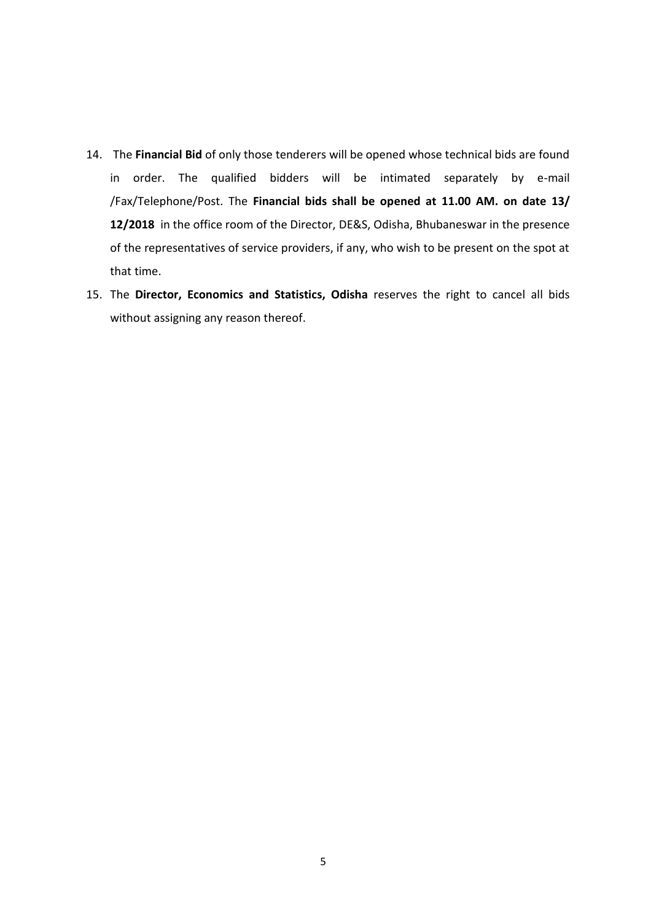- 14. The **Financial Bid** of only those tenderers will be opened whose technical bids are found in order. The qualified bidders will be intimated separately by e-mail /Fax/Telephone/Post. The **Financial bids shall be opened at 11.00 AM. on date 13/ 12/2018** in the office room of the Director, DE&S, Odisha, Bhubaneswar in the presence of the representatives of service providers, if any, who wish to be present on the spot at that time.
- 15. The **Director, Economics and Statistics, Odisha** reserves the right to cancel all bids without assigning any reason thereof.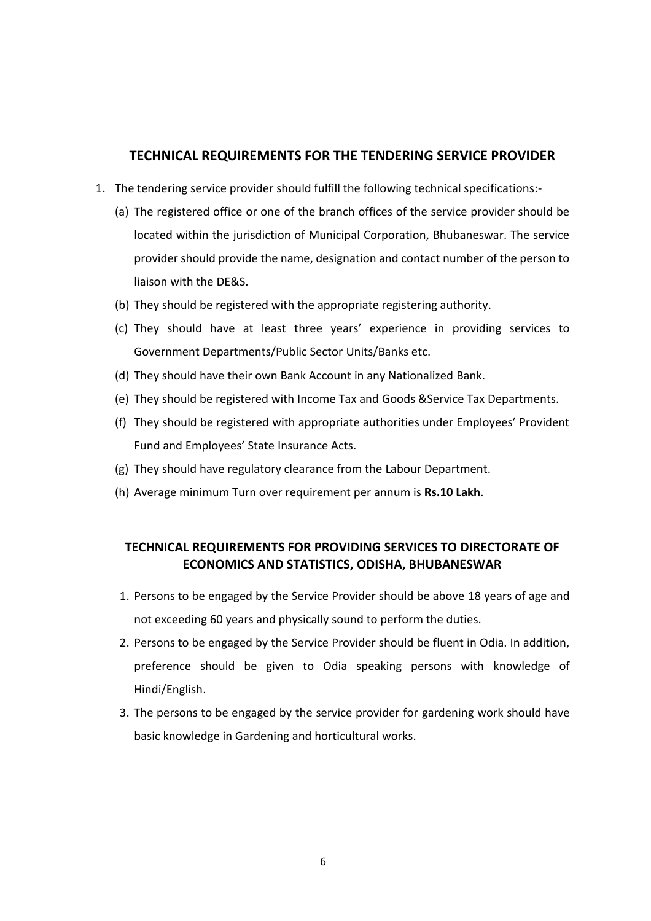#### **TECHNICAL REQUIREMENTS FOR THE TENDERING SERVICE PROVIDER**

- 1. The tendering service provider should fulfill the following technical specifications:-
	- (a) The registered office or one of the branch offices of the service provider should be located within the jurisdiction of Municipal Corporation, Bhubaneswar. The service provider should provide the name, designation and contact number of the person to liaison with the DE&S.
	- (b) They should be registered with the appropriate registering authority.
	- (c) They should have at least three years' experience in providing services to Government Departments/Public Sector Units/Banks etc.
	- (d) They should have their own Bank Account in any Nationalized Bank.
	- (e) They should be registered with Income Tax and Goods &Service Tax Departments.
	- (f) They should be registered with appropriate authorities under Employees' Provident Fund and Employees' State Insurance Acts.
	- (g) They should have regulatory clearance from the Labour Department.
	- (h) Average minimum Turn over requirement per annum is **Rs.10 Lakh**.

## **TECHNICAL REQUIREMENTS FOR PROVIDING SERVICES TO DIRECTORATE OF ECONOMICS AND STATISTICS, ODISHA, BHUBANESWAR**

- 1. Persons to be engaged by the Service Provider should be above 18 years of age and not exceeding 60 years and physically sound to perform the duties.
- 2. Persons to be engaged by the Service Provider should be fluent in Odia. In addition, preference should be given to Odia speaking persons with knowledge of Hindi/English.
- 3. The persons to be engaged by the service provider for gardening work should have basic knowledge in Gardening and horticultural works.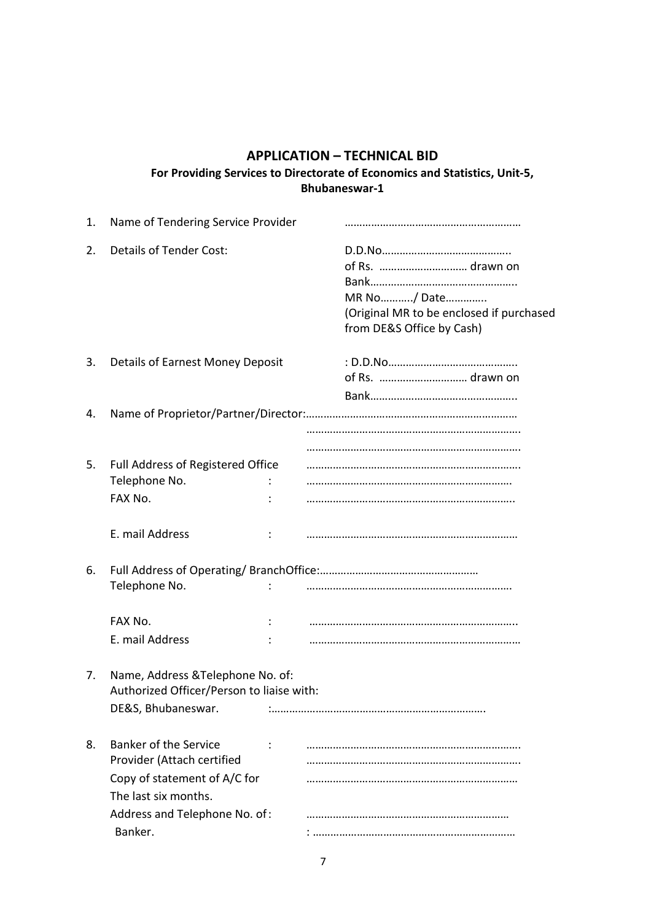## **APPLICATION – TECHNICAL BID For Providing Services to Directorate of Economics and Statistics, Unit-5, Bhubaneswar-1**

| 1. | Name of Tendering Service Provider                                                                                 |  |                                                                                                          |
|----|--------------------------------------------------------------------------------------------------------------------|--|----------------------------------------------------------------------------------------------------------|
| 2. | <b>Details of Tender Cost:</b>                                                                                     |  | of Rs.  drawn on<br>MR No/ Date<br>(Original MR to be enclosed if purchased<br>from DE&S Office by Cash) |
| 3. | Details of Earnest Money Deposit                                                                                   |  |                                                                                                          |
| 4. |                                                                                                                    |  |                                                                                                          |
|    |                                                                                                                    |  |                                                                                                          |
| 5. | Full Address of Registered Office<br>Telephone No.<br>FAX No.                                                      |  |                                                                                                          |
|    | E. mail Address                                                                                                    |  |                                                                                                          |
| 6. | Telephone No.                                                                                                      |  |                                                                                                          |
|    | FAX No.                                                                                                            |  |                                                                                                          |
|    | E. mail Address                                                                                                    |  |                                                                                                          |
| 7. | Name, Address & Telephone No. of:<br>Authorized Officer/Person to liaise with:<br>DE&S, Bhubaneswar.               |  |                                                                                                          |
| 8. | <b>Banker of the Service</b><br>Provider (Attach certified<br>Copy of statement of A/C for<br>The last six months. |  |                                                                                                          |
|    | Address and Telephone No. of:                                                                                      |  |                                                                                                          |
|    | Banker.                                                                                                            |  |                                                                                                          |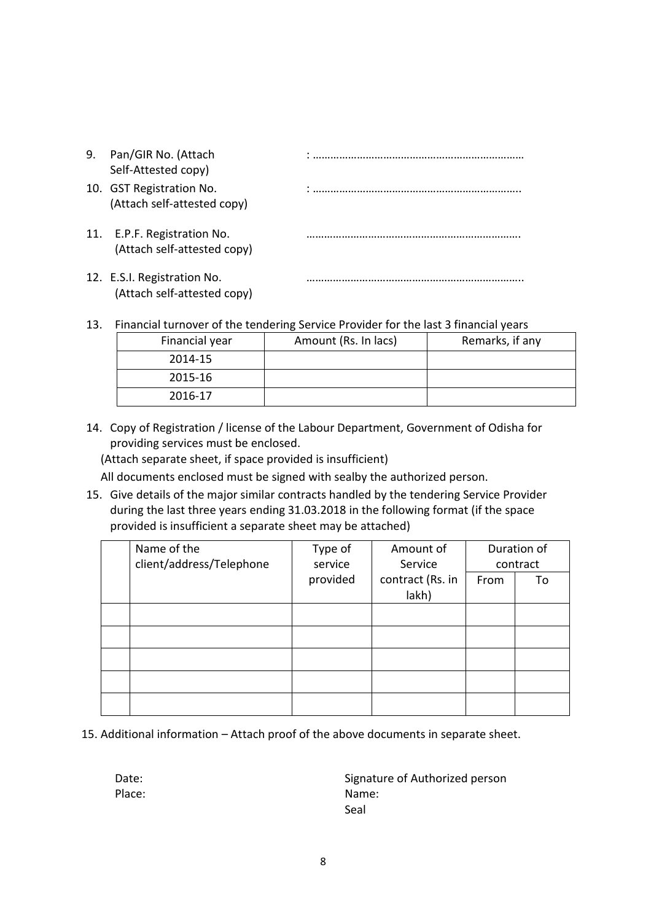| 9. | Pan/GIR No. (Attach<br>Self-Attested copy)                 |  |
|----|------------------------------------------------------------|--|
|    | 10. GST Registration No.<br>(Attach self-attested copy)    |  |
|    | 11. E.P.F. Registration No.<br>(Attach self-attested copy) |  |
|    | 12. E.S.I. Registration No.<br>(Attach self-attested copy) |  |

13. Financial turnover of the tendering Service Provider for the last 3 financial years

| Financial year | Amount (Rs. In lacs) | Remarks, if any |
|----------------|----------------------|-----------------|
| 2014-15        |                      |                 |
| 2015-16        |                      |                 |
| 2016-17        |                      |                 |

14. Copy of Registration / license of the Labour Department, Government of Odisha for providing services must be enclosed.

(Attach separate sheet, if space provided is insufficient)

All documents enclosed must be signed with sealby the authorized person.

15. Give details of the major similar contracts handled by the tendering Service Provider during the last three years ending 31.03.2018 in the following format (if the space provided is insufficient a separate sheet may be attached)

| Name of the              | Type of  | Amount of        |      | Duration of |
|--------------------------|----------|------------------|------|-------------|
| client/address/Telephone | service  | Service          |      | contract    |
|                          | provided | contract (Rs. in | From | To          |
|                          |          | lakh)            |      |             |
|                          |          |                  |      |             |
|                          |          |                  |      |             |
|                          |          |                  |      |             |
|                          |          |                  |      |             |
|                          |          |                  |      |             |

15. Additional information – Attach proof of the above documents in separate sheet.

Date: Date: Signature of Authorized person Place: Name: Name: Name: Name: Name: Name: Name: Name: Name: Name: Name: Name: Name: Name: Name: Name: Name: Name: Name: Name: Name: Name: Name: Name: Name: Name: Name: Name: Name: Name: Name: Name: Name: Name: Name: Name: Seal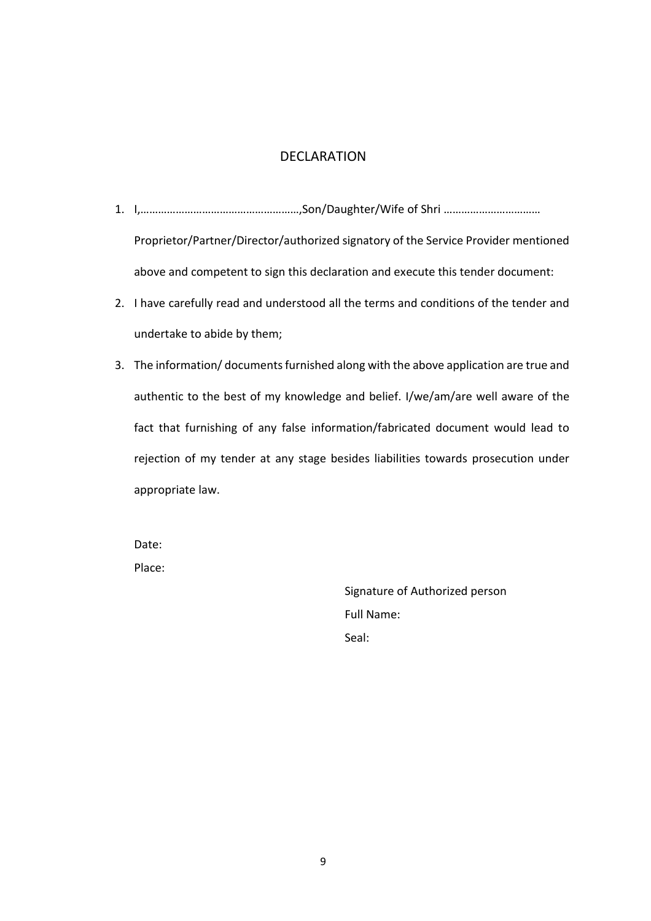## DECLARATION

- 1. I,………………………………………………,Son/Daughter/Wife of Shri …………………………… Proprietor/Partner/Director/authorized signatory of the Service Provider mentioned above and competent to sign this declaration and execute this tender document:
- 2. I have carefully read and understood all the terms and conditions of the tender and undertake to abide by them;
- 3. The information/ documents furnished along with the above application are true and authentic to the best of my knowledge and belief. I/we/am/are well aware of the fact that furnishing of any false information/fabricated document would lead to rejection of my tender at any stage besides liabilities towards prosecution under appropriate law.

Date: Place:

> Signature of Authorized person Full Name: Seal: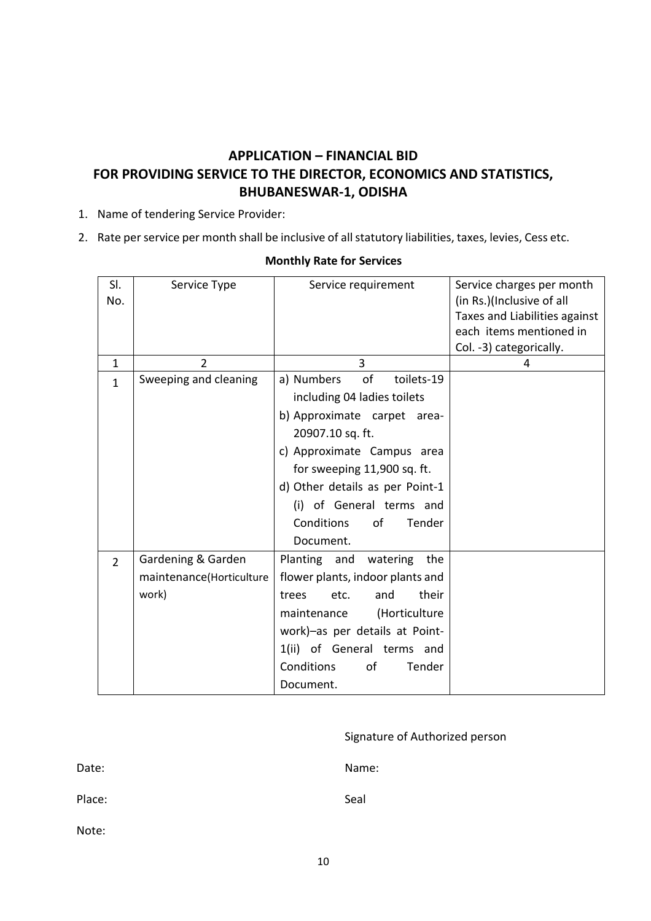## **APPLICATION – FINANCIAL BID FOR PROVIDING SERVICE TO THE DIRECTOR, ECONOMICS AND STATISTICS, BHUBANESWAR-1, ODISHA**

- 1. Name of tendering Service Provider:
- 2. Rate per service per month shall be inclusive of all statutory liabilities, taxes, levies, Cess etc.

| SI.<br>No.     | Service Type                                            | Service requirement                                                                                                                                                                                                                                                                     | Service charges per month<br>(in Rs.)(Inclusive of all<br>Taxes and Liabilities against<br>each items mentioned in<br>Col. -3) categorically. |
|----------------|---------------------------------------------------------|-----------------------------------------------------------------------------------------------------------------------------------------------------------------------------------------------------------------------------------------------------------------------------------------|-----------------------------------------------------------------------------------------------------------------------------------------------|
| $\mathbf{1}$   | 2                                                       | 3                                                                                                                                                                                                                                                                                       | 4                                                                                                                                             |
| $\mathbf{1}$   | Sweeping and cleaning                                   | of<br>a) Numbers<br>toilets-19<br>including 04 ladies toilets<br>b) Approximate carpet area-<br>20907.10 sq. ft.<br>c) Approximate Campus area<br>for sweeping 11,900 sq. ft.<br>d) Other details as per Point-1<br>(i) of General terms and<br>Conditions<br>of<br>Tender<br>Document. |                                                                                                                                               |
| $\overline{2}$ | Gardening & Garden<br>maintenance(Horticulture<br>work) | Planting and<br>the<br>watering<br>flower plants, indoor plants and<br>their<br>etc.<br>and<br>trees<br>(Horticulture<br>maintenance<br>work)-as per details at Point-<br>1(ii) of General terms and<br>Conditions<br>of<br>Tender<br>Document.                                         |                                                                                                                                               |

#### **Monthly Rate for Services**

| Signature of Authorized person |  |
|--------------------------------|--|
|--------------------------------|--|

Date: Name:

Place: Seal Seal And Seal Seal And Seal And Seal And Seal And Seal And Seal And Seal And Seal And Seal And Seal

Note: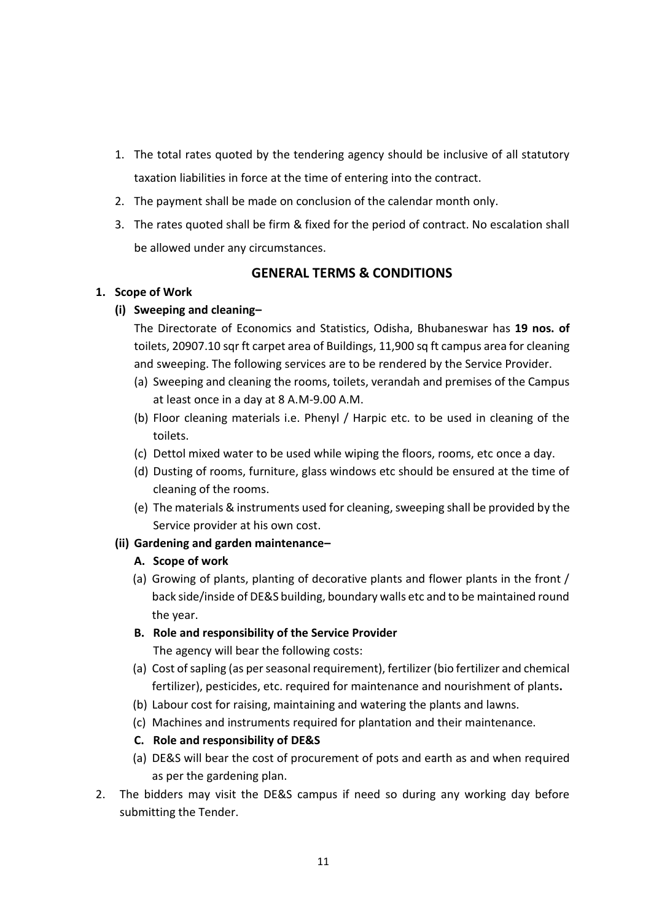- 1. The total rates quoted by the tendering agency should be inclusive of all statutory taxation liabilities in force at the time of entering into the contract.
- 2. The payment shall be made on conclusion of the calendar month only.
- 3. The rates quoted shall be firm & fixed for the period of contract. No escalation shall be allowed under any circumstances.

#### **GENERAL TERMS & CONDITIONS**

#### **1. Scope of Work**

#### **(i) Sweeping and cleaning–**

The Directorate of Economics and Statistics, Odisha, Bhubaneswar has **19 nos. of** toilets, 20907.10 sqr ft carpet area of Buildings, 11,900 sq ft campus area for cleaning and sweeping. The following services are to be rendered by the Service Provider.

- (a) Sweeping and cleaning the rooms, toilets, verandah and premises of the Campus at least once in a day at 8 A.M-9.00 A.M.
- (b) Floor cleaning materials i.e. Phenyl / Harpic etc. to be used in cleaning of the toilets.
- (c) Dettol mixed water to be used while wiping the floors, rooms, etc once a day.
- (d) Dusting of rooms, furniture, glass windows etc should be ensured at the time of cleaning of the rooms.
- (e) The materials & instruments used for cleaning, sweeping shall be provided by the Service provider at his own cost.

#### **(ii) Gardening and garden maintenance–**

- **A. Scope of work**
- (a) Growing of plants, planting of decorative plants and flower plants in the front / back side/inside of DE&S building, boundary walls etc and to be maintained round the year.
- **B. Role and responsibility of the Service Provider** The agency will bear the following costs:
- (a) Cost of sapling (as per seasonal requirement), fertilizer (bio fertilizer and chemical fertilizer), pesticides, etc. required for maintenance and nourishment of plants**.**
- (b) Labour cost for raising, maintaining and watering the plants and lawns.
- (c) Machines and instruments required for plantation and their maintenance.
- **C. Role and responsibility of DE&S**
- (a) DE&S will bear the cost of procurement of pots and earth as and when required as per the gardening plan.
- 2. The bidders may visit the DE&S campus if need so during any working day before submitting the Tender.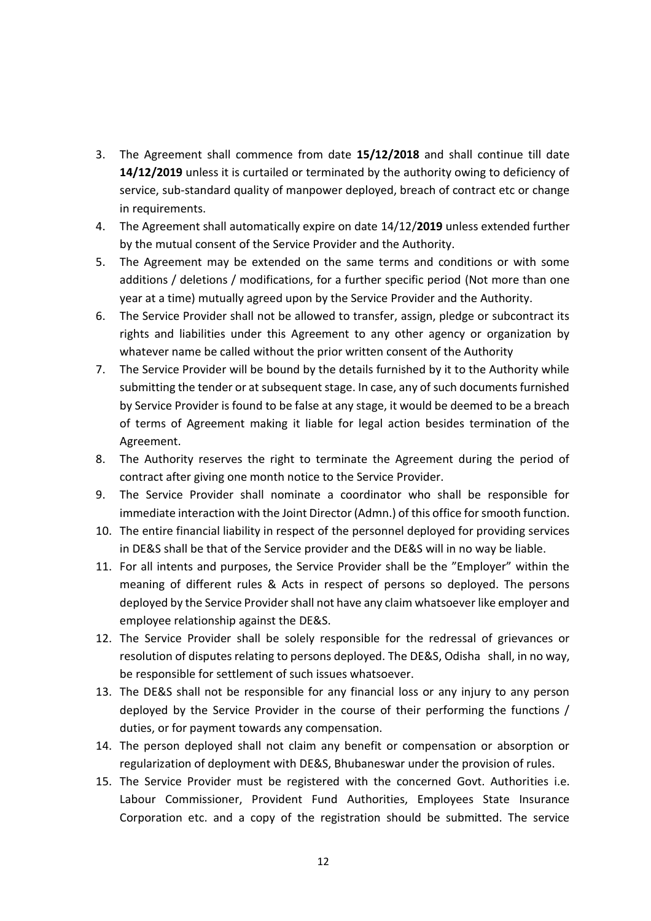- 3. The Agreement shall commence from date **15/12/2018** and shall continue till date **14/12/2019** unless it is curtailed or terminated by the authority owing to deficiency of service, sub-standard quality of manpower deployed, breach of contract etc or change in requirements.
- 4. The Agreement shall automatically expire on date 14/12/**2019** unless extended further by the mutual consent of the Service Provider and the Authority.
- 5. The Agreement may be extended on the same terms and conditions or with some additions / deletions / modifications, for a further specific period (Not more than one year at a time) mutually agreed upon by the Service Provider and the Authority.
- 6. The Service Provider shall not be allowed to transfer, assign, pledge or subcontract its rights and liabilities under this Agreement to any other agency or organization by whatever name be called without the prior written consent of the Authority
- 7. The Service Provider will be bound by the details furnished by it to the Authority while submitting the tender or at subsequent stage. In case, any of such documents furnished by Service Provider is found to be false at any stage, it would be deemed to be a breach of terms of Agreement making it liable for legal action besides termination of the Agreement.
- 8. The Authority reserves the right to terminate the Agreement during the period of contract after giving one month notice to the Service Provider.
- 9. The Service Provider shall nominate a coordinator who shall be responsible for immediate interaction with the Joint Director (Admn.) of this office for smooth function.
- 10. The entire financial liability in respect of the personnel deployed for providing services in DE&S shall be that of the Service provider and the DE&S will in no way be liable.
- 11. For all intents and purposes, the Service Provider shall be the "Employer" within the meaning of different rules & Acts in respect of persons so deployed. The persons deployed by the Service Provider shall not have any claim whatsoever like employer and employee relationship against the DE&S.
- 12. The Service Provider shall be solely responsible for the redressal of grievances or resolution of disputes relating to persons deployed. The DE&S, Odisha shall, in no way, be responsible for settlement of such issues whatsoever.
- 13. The DE&S shall not be responsible for any financial loss or any injury to any person deployed by the Service Provider in the course of their performing the functions / duties, or for payment towards any compensation.
- 14. The person deployed shall not claim any benefit or compensation or absorption or regularization of deployment with DE&S, Bhubaneswar under the provision of rules.
- 15. The Service Provider must be registered with the concerned Govt. Authorities i.e. Labour Commissioner, Provident Fund Authorities, Employees State Insurance Corporation etc. and a copy of the registration should be submitted. The service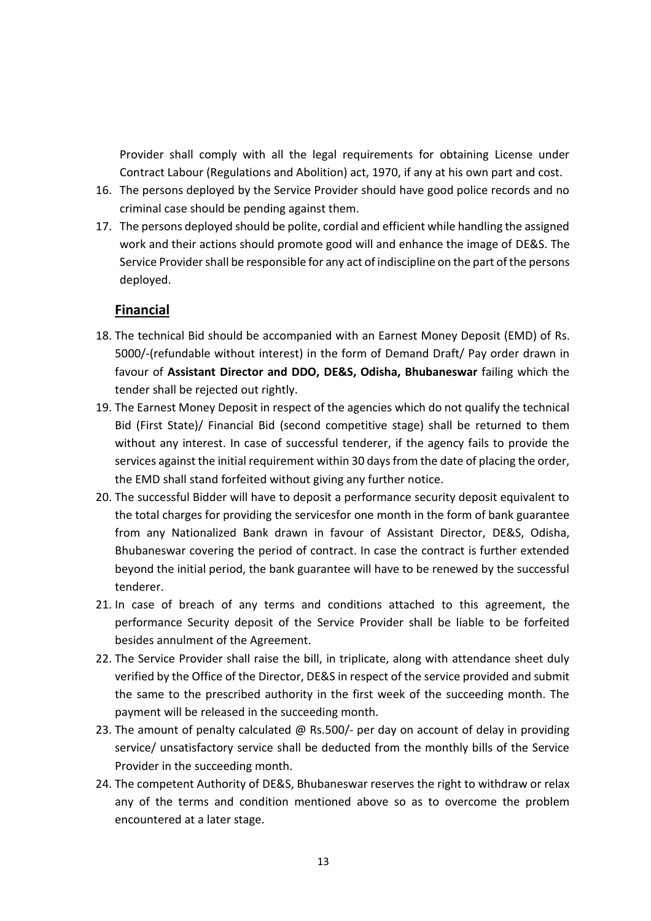Provider shall comply with all the legal requirements for obtaining License under Contract Labour (Regulations and Abolition) act, 1970, if any at his own part and cost.

- 16. The persons deployed by the Service Provider should have good police records and no criminal case should be pending against them.
- 17. The persons deployed should be polite, cordial and efficient while handling the assigned work and their actions should promote good will and enhance the image of DE&S. The Service Provider shall be responsible for any act of indiscipline on the part of the persons deployed.

## **Financial**

- 18. The technical Bid should be accompanied with an Earnest Money Deposit (EMD) of Rs. 5000/-(refundable without interest) in the form of Demand Draft/ Pay order drawn in favour of **Assistant Director and DDO, DE&S, Odisha, Bhubaneswar** failing which the tender shall be rejected out rightly.
- 19. The Earnest Money Deposit in respect of the agencies which do not qualify the technical Bid (First State)/ Financial Bid (second competitive stage) shall be returned to them without any interest. In case of successful tenderer, if the agency fails to provide the services against the initial requirement within 30 days from the date of placing the order, the EMD shall stand forfeited without giving any further notice.
- 20. The successful Bidder will have to deposit a performance security deposit equivalent to the total charges for providing the servicesfor one month in the form of bank guarantee from any Nationalized Bank drawn in favour of Assistant Director, DE&S, Odisha, Bhubaneswar covering the period of contract. In case the contract is further extended beyond the initial period, the bank guarantee will have to be renewed by the successful tenderer.
- 21. In case of breach of any terms and conditions attached to this agreement, the performance Security deposit of the Service Provider shall be liable to be forfeited besides annulment of the Agreement.
- 22. The Service Provider shall raise the bill, in triplicate, along with attendance sheet duly verified by the Office of the Director, DE&S in respect of the service provided and submit the same to the prescribed authority in the first week of the succeeding month. The payment will be released in the succeeding month.
- 23. The amount of penalty calculated @ Rs.500/- per day on account of delay in providing service/ unsatisfactory service shall be deducted from the monthly bills of the Service Provider in the succeeding month.
- 24. The competent Authority of DE&S, Bhubaneswar reserves the right to withdraw or relax any of the terms and condition mentioned above so as to overcome the problem encountered at a later stage.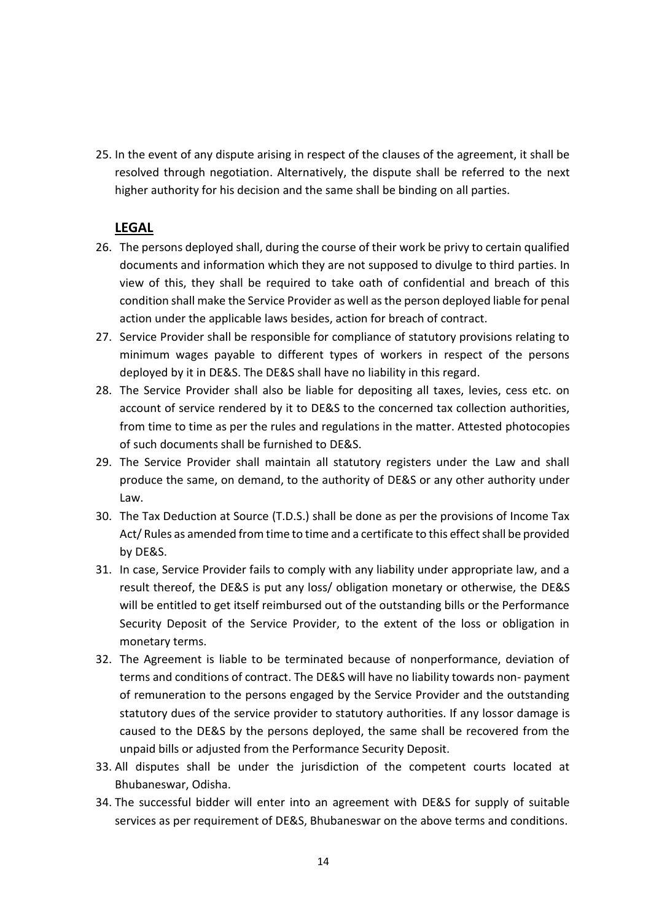25. In the event of any dispute arising in respect of the clauses of the agreement, it shall be resolved through negotiation. Alternatively, the dispute shall be referred to the next higher authority for his decision and the same shall be binding on all parties.

## **LEGAL**

- 26. The persons deployed shall, during the course of their work be privy to certain qualified documents and information which they are not supposed to divulge to third parties. In view of this, they shall be required to take oath of confidential and breach of this condition shall make the Service Provider as well as the person deployed liable for penal action under the applicable laws besides, action for breach of contract.
- 27. Service Provider shall be responsible for compliance of statutory provisions relating to minimum wages payable to different types of workers in respect of the persons deployed by it in DE&S. The DE&S shall have no liability in this regard.
- 28. The Service Provider shall also be liable for depositing all taxes, levies, cess etc. on account of service rendered by it to DE&S to the concerned tax collection authorities, from time to time as per the rules and regulations in the matter. Attested photocopies of such documents shall be furnished to DE&S.
- 29. The Service Provider shall maintain all statutory registers under the Law and shall produce the same, on demand, to the authority of DE&S or any other authority under Law.
- 30. The Tax Deduction at Source (T.D.S.) shall be done as per the provisions of Income Tax Act/ Rules as amended from time to time and a certificate to this effect shall be provided by DE&S.
- 31. In case, Service Provider fails to comply with any liability under appropriate law, and a result thereof, the DE&S is put any loss/ obligation monetary or otherwise, the DE&S will be entitled to get itself reimbursed out of the outstanding bills or the Performance Security Deposit of the Service Provider, to the extent of the loss or obligation in monetary terms.
- 32. The Agreement is liable to be terminated because of nonperformance, deviation of terms and conditions of contract. The DE&S will have no liability towards non- payment of remuneration to the persons engaged by the Service Provider and the outstanding statutory dues of the service provider to statutory authorities. If any lossor damage is caused to the DE&S by the persons deployed, the same shall be recovered from the unpaid bills or adjusted from the Performance Security Deposit.
- 33. All disputes shall be under the jurisdiction of the competent courts located at Bhubaneswar, Odisha.
- 34. The successful bidder will enter into an agreement with DE&S for supply of suitable services as per requirement of DE&S, Bhubaneswar on the above terms and conditions.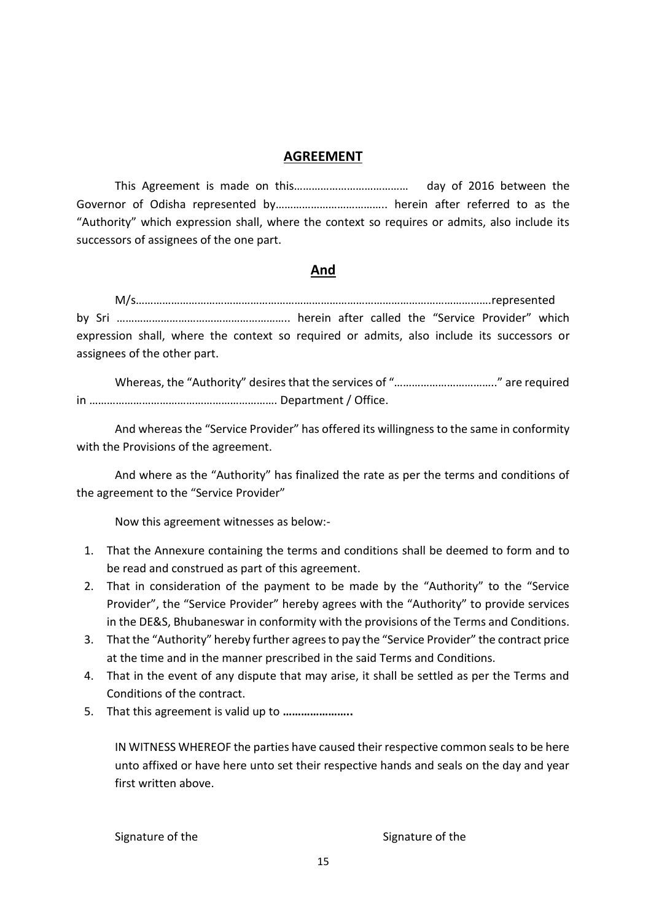#### **AGREEMENT**

This Agreement is made on this………………………………… day of 2016 between the Governor of Odisha represented by……………………………….. herein after referred to as the "Authority" which expression shall, where the context so requires or admits, also include its successors of assignees of the one part.

#### **And**

M/s………………………………………………………………………………………………………….represented by Sri ………………………………………………….. herein after called the "Service Provider" which expression shall, where the context so required or admits, also include its successors or assignees of the other part.

Whereas, the "Authority" desires that the services of "…………………………….." are required in ………………………………………………………. Department / Office.

And whereas the "Service Provider" has offered its willingness to the same in conformity with the Provisions of the agreement.

And where as the "Authority" has finalized the rate as per the terms and conditions of the agreement to the "Service Provider"

Now this agreement witnesses as below:-

- 1. That the Annexure containing the terms and conditions shall be deemed to form and to be read and construed as part of this agreement.
- 2. That in consideration of the payment to be made by the "Authority" to the "Service Provider", the "Service Provider" hereby agrees with the "Authority" to provide services in the DE&S, Bhubaneswar in conformity with the provisions of the Terms and Conditions.
- 3. That the "Authority" hereby further agrees to pay the "Service Provider" the contract price at the time and in the manner prescribed in the said Terms and Conditions.
- 4. That in the event of any dispute that may arise, it shall be settled as per the Terms and Conditions of the contract.
- 5. That this agreement is valid up to **…………………..**

IN WITNESS WHEREOF the parties have caused their respective common seals to be here unto affixed or have here unto set their respective hands and seals on the day and year first written above.

Signature of the Signature of the Signature of the Signature of the Signature of the Signature of the Signature of the Signature of the Signature of the Signature of the Signature of the Signature of the Signature of the S